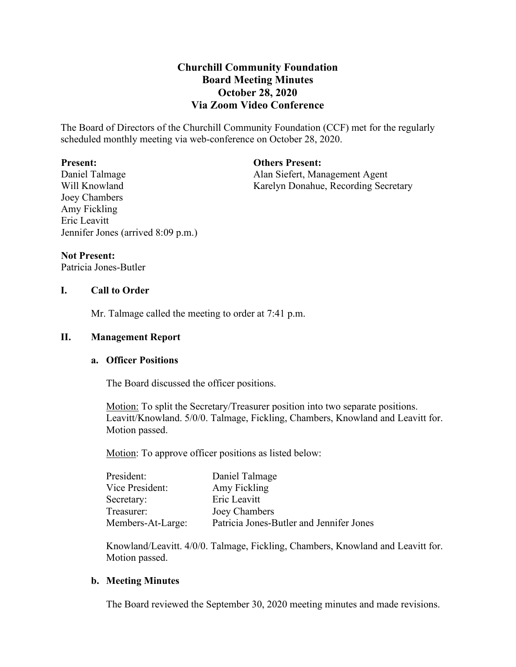# **Churchill Community Foundation Board Meeting Minutes October 28, 2020 Via Zoom Video Conference**

The Board of Directors of the Churchill Community Foundation (CCF) met for the regularly scheduled monthly meeting via web-conference on October 28, 2020.

#### **Present:**

**Others Present:** Alan Siefert, Management Agent

Daniel Talmage Will Knowland Joey Chambers Amy Fickling Eric Leavitt Jennifer Jones (arrived 8:09 p.m.)

Karelyn Donahue, Recording Secretary

## **Not Present:**

Patricia Jones-Butler

## **I. Call to Order**

Mr. Talmage called the meeting to order at 7:41 p.m.

## **II. Management Report**

## **a. Officer Positions**

The Board discussed the officer positions.

Motion: To split the Secretary/Treasurer position into two separate positions. Leavitt/Knowland. 5/0/0. Talmage, Fickling, Chambers, Knowland and Leavitt for. Motion passed.

Motion: To approve officer positions as listed below:

| President:        | Daniel Talmage                           |
|-------------------|------------------------------------------|
| Vice President:   | Amy Fickling                             |
| Secretary:        | Eric Leavitt                             |
| Treasurer:        | Joey Chambers                            |
| Members-At-Large: | Patricia Jones-Butler and Jennifer Jones |

Knowland/Leavitt. 4/0/0. Talmage, Fickling, Chambers, Knowland and Leavitt for. Motion passed.

## **b. Meeting Minutes**

The Board reviewed the September 30, 2020 meeting minutes and made revisions.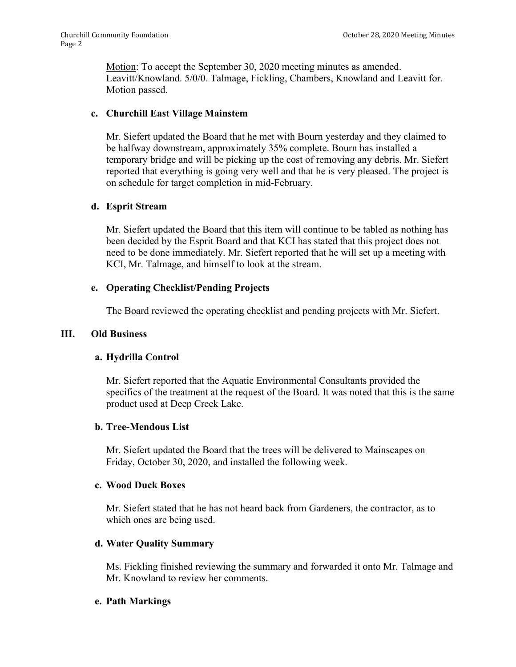Motion: To accept the September 30, 2020 meeting minutes as amended. Leavitt/Knowland. 5/0/0. Talmage, Fickling, Chambers, Knowland and Leavitt for. Motion passed.

# **c. Churchill East Village Mainstem**

Mr. Siefert updated the Board that he met with Bourn yesterday and they claimed to be halfway downstream, approximately 35% complete. Bourn has installed a temporary bridge and will be picking up the cost of removing any debris. Mr. Siefert reported that everything is going very well and that he is very pleased. The project is on schedule for target completion in mid-February.

# **d. Esprit Stream**

Mr. Siefert updated the Board that this item will continue to be tabled as nothing has been decided by the Esprit Board and that KCI has stated that this project does not need to be done immediately. Mr. Siefert reported that he will set up a meeting with KCI, Mr. Talmage, and himself to look at the stream.

# **e. Operating Checklist/Pending Projects**

The Board reviewed the operating checklist and pending projects with Mr. Siefert.

## **III. Old Business**

## **a. Hydrilla Control**

Mr. Siefert reported that the Aquatic Environmental Consultants provided the specifics of the treatment at the request of the Board. It was noted that this is the same product used at Deep Creek Lake.

## **b. Tree-Mendous List**

Mr. Siefert updated the Board that the trees will be delivered to Mainscapes on Friday, October 30, 2020, and installed the following week.

## **c. Wood Duck Boxes**

Mr. Siefert stated that he has not heard back from Gardeners, the contractor, as to which ones are being used.

## **d. Water Quality Summary**

Ms. Fickling finished reviewing the summary and forwarded it onto Mr. Talmage and Mr. Knowland to review her comments.

## **e. Path Markings**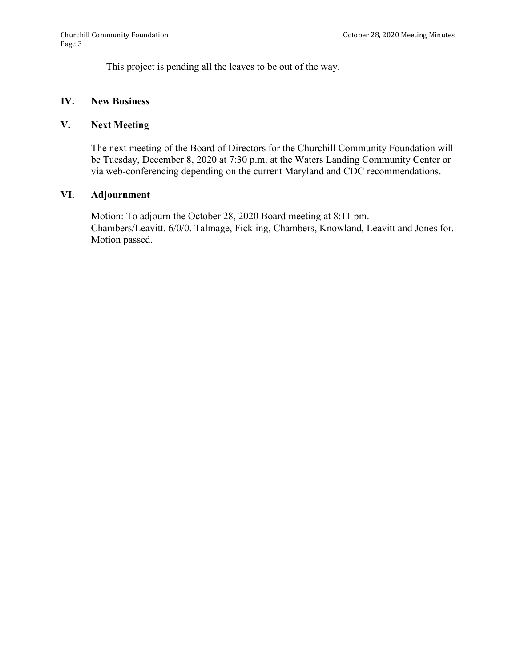This project is pending all the leaves to be out of the way.

#### **IV. New Business**

## **V. Next Meeting**

The next meeting of the Board of Directors for the Churchill Community Foundation will be Tuesday, December 8, 2020 at 7:30 p.m. at the Waters Landing Community Center or via web-conferencing depending on the current Maryland and CDC recommendations.

#### **VI. Adjournment**

Motion: To adjourn the October 28, 2020 Board meeting at 8:11 pm. Chambers/Leavitt. 6/0/0. Talmage, Fickling, Chambers, Knowland, Leavitt and Jones for. Motion passed.